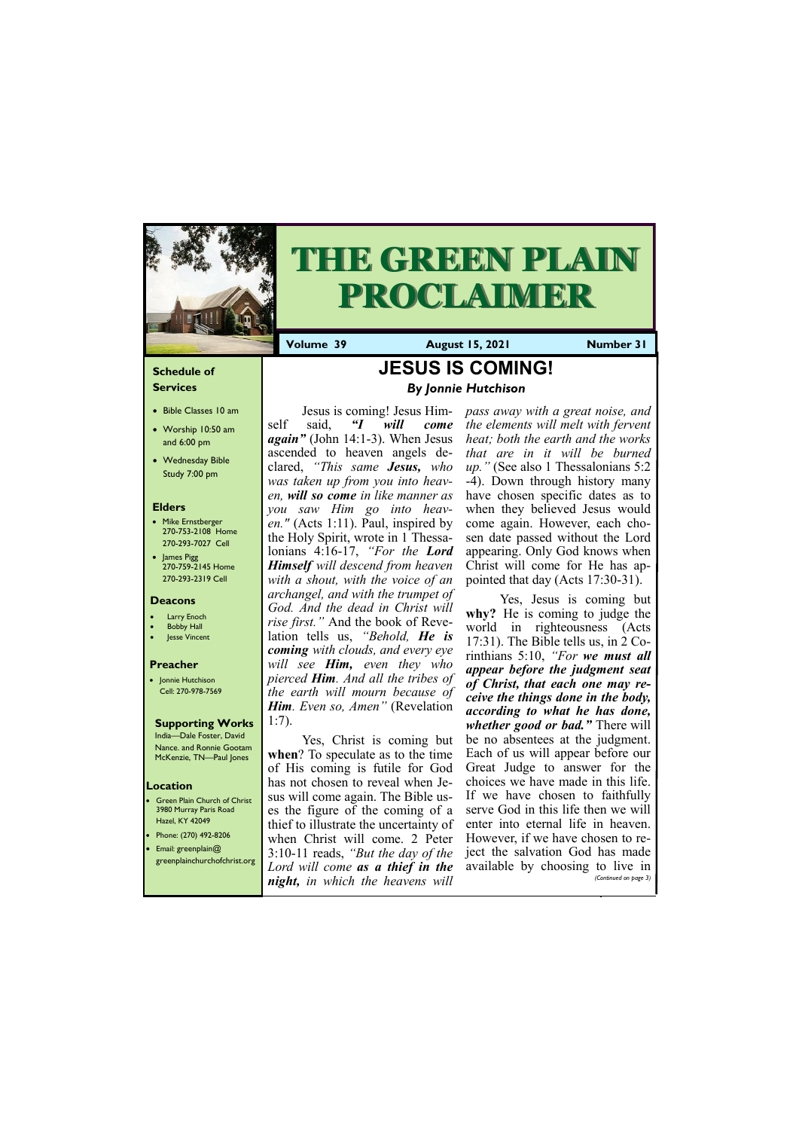#### **Schedule of Services**

- Bible Classes 10 am
- Worship 10:50 am and 6:00 pm
- Wednesday Bible Study 7:00 pm

#### **Elders**

- Mike Ernstberger 270-753-2108 Home 270-293-7027 Cell
- James Pigg 270-759-2145 Home 270-293-2319 Cell

#### **Location**

**Green Plain Church of Christ** 3980 Murray Paris Road Hazel, KY 42049 • Phone: (270) 492-8206 Email: greenplain $@$ 



# **THE GREEN PLAIN PROCLAIMER**

**Volume 39 August 15, 2021 Mumber 31** 

#### **Deacons**

- **Larry Enoch**
- **Bobby Hall**
- Jesse Vincent

#### **Preacher**

• Jonnie Hutchison Cell: 270-978-7569

#### **Supporting Works**

India—Dale Foster, David Nance. and Ronnie Gootam McKenzie, TN—Paul Jones

## **JESUS IS COMING!** *By Jonnie Hutchison*

Jesus is coming! Jesus Himself said, *"I will come again"* (John 14:1-3). When Jesus ascended to heaven angels declared, *"This same Jesus, who was taken up from you into heaven, will so come in like manner as you saw Him go into heaven."* (Acts 1:11). Paul, inspired by the Holy Spirit, wrote in 1 Thessalonians 4:16-17, *"For the Lord Himself will descend from heaven with a shout, with the voice of an archangel, and with the trumpet of God. And the dead in Christ will rise first."* And the book of Revelation tells us, *"Behold, He is coming with clouds, and every eye will see Him, even they who pierced Him. And all the tribes of the earth will mourn because of Him. Even so, Amen"* (Revelation 1:7).

| <b>•</b> Email: greenplain@<br>greenplainchurchofchrist.org | 13:10-11 reads, "But the day of the ject the salvation God has made<br>Lord will come as a thief in the available by choosing to live in<br>night, in which the heavens will | (Continued on page 3) |
|-------------------------------------------------------------|------------------------------------------------------------------------------------------------------------------------------------------------------------------------------|-----------------------|
|-------------------------------------------------------------|------------------------------------------------------------------------------------------------------------------------------------------------------------------------------|-----------------------|

*pass away with a great noise, and the elements will melt with fervent heat; both the earth and the works that are in it will be burned up."* (See also 1 Thessalonians 5:2 -4). Down through history many have chosen specific dates as to when they believed Jesus would come again. However, each chosen date passed without the Lord appearing. Only God knows when Christ will come for He has appointed that day (Acts 17:30-31).

Yes, Christ is coming but **when**? To speculate as to the time of His coming is futile for God has not chosen to reveal when Jesus will come again. The Bible uses the figure of the coming of a thief to illustrate the uncertainty of when Christ will come. 2 Peter However, if we have chosen to re-

Yes, Jesus is coming but **why?** He is coming to judge the world in righteousness (Acts 17:31). The Bible tells us, in 2 Corinthians 5:10, *"For we must all appear before the judgment seat of Christ, that each one may receive the things done in the body, according to what he has done, whether good or bad."* There will be no absentees at the judgment. Each of us will appear before our Great Judge to answer for the choices we have made in this life. If we have chosen to faithfully serve God in this life then we will enter into eternal life in heaven.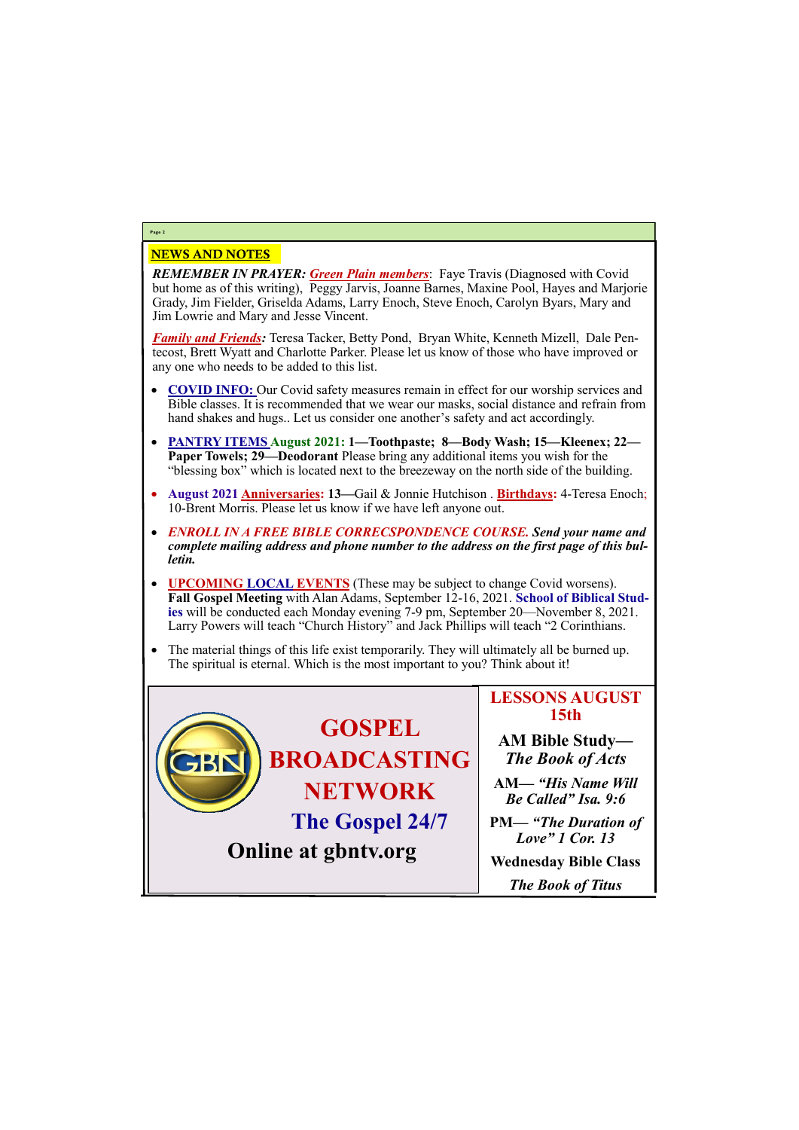### NEWS AND NOTES

**REMEMBER IN PRAYER: Green Plain members**: Faye Travis (Diagnosed with Covid but home as of this writing), Peggy Jarvis, Joanne Barnes, Maxine Pool, Hayes and Marjorie Grady, Jim Fielder, Griselda Adams, Larry Enoch, Steve Enoch, Carolyn Byars, Mary and Jim Lowrie and Mary and Jesse Vincent.

*Family and Friends:* Teresa Tacker, Betty Pond, Bryan White, Kenneth Mizell, Dale Pentecost, Brett Wyatt and Charlotte Parker. Please let us know of those who have improved or any one who needs to be added to this list.

- **COVID INFO:** Our Covid safety measures remain in effect for our worship services and Bible classes. It is recommended that we wear our masks, social distance and refrain from hand shakes and hugs.. Let us consider one another's safety and act accordingly.
- **PANTRY ITEMS August 2021: 1—Toothpaste; 8—Body Wash; 15—Kleenex; 22— Paper Towels; 29—Deodorant** Please bring any additional items you wish for the "blessing box" which is located next to the breezeway on the north side of the building.
- **August 2021 Anniversaries: 13—**Gail & Jonnie Hutchison . **Birthdays:** 4-Teresa Enoch; 10-Brent Morris. Please let us know if we have left anyone out.
- *ENROLL IN A FREE BIBLE CORRECSPONDENCE COURSE. Send your name and complete mailing address and phone number to the address on the first page of this bulletin.*
- **UPCOMING LOCAL EVENTS** (These may be subject to change Covid worsens). **Fall Gospel Meeting** with Alan Adams, September 12-16, 2021. **School of Biblical Studies** will be conducted each Monday evening 7-9 pm, September 20—November 8, 2021. Larry Powers will teach "Church History" and Jack Phillips will teach "2 Corinthians.
- The material things of this life exist temporarily. They will ultimately all be burned up. The spiritual is eternal. Which is the most important to you? Think about it!

## **Page 2**

**GOSPEL BROADCASTING NETWORK The Gospel 24/7**

## **Online at gbntv.org**

## **LESSONS AUGUST 15th**

**AM Bible Study—** *The Book of Acts*

**AM***— "His Name Will Be Called" Isa. 9:6*

**PM—** *"The Duration of Love" 1 Cor. 13*

**Wednesday Bible Class** *The Book of Titus*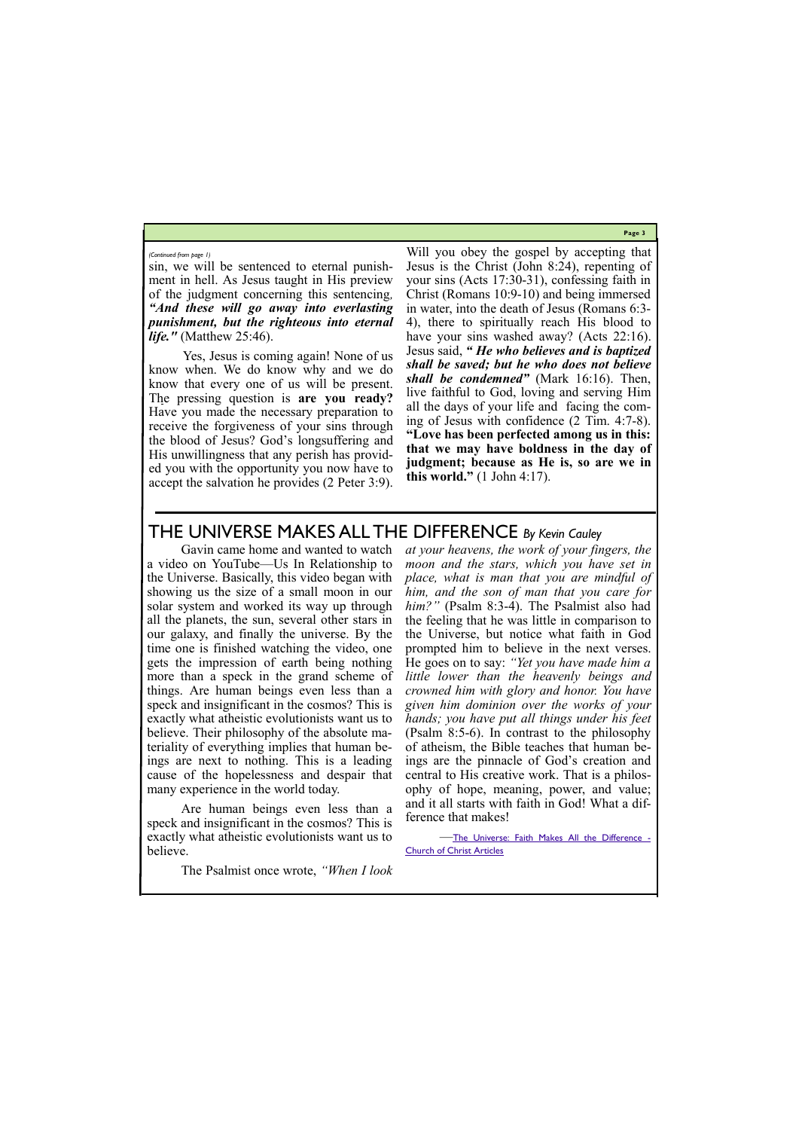**Page 3**

sin, we will be sentenced to eternal punishment in hell. As Jesus taught in His preview of the judgment concerning this sentencing*, "And these will go away into everlasting punishment, but the righteous into eternal life.* " (Matthew 25:46).

Yes, Jesus is coming again! None of us know when. We do know why and we do know that every one of us will be present. The pressing question is **are you ready?**  Have you made the necessary preparation to receive the forgiveness of your sins through the blood of Jesus? God's longsuffering and His unwillingness that any perish has provided you with the opportunity you now have to accept the salvation he provides (2 Peter 3:9).

Will you obey the gospel by accepting that Jesus is the Christ (John 8:24), repenting of your sins (Acts 17:30-31), confessing faith in Christ (Romans 10:9-10) and being immersed in water, into the death of Jesus (Romans 6:3- 4), there to spiritually reach His blood to have your sins washed away? (Acts 22:16). Jesus said, *" He who believes and is baptized shall be saved; but he who does not believe shall be condemned"* (Mark 16:16). Then, live faithful to God, loving and serving Him all the days of your life and facing the coming of Jesus with confidence (2 Tim. 4:7-8). **"Love has been perfected among us in this: that we may have boldness in the day of judgment; because as He is, so are we in this world."** (1 John 4:17).

*(Continued from page 1)*

## THE UNIVERSE MAKES ALL THE DIFFERENCE *By Kevin Cauley*

Gavin came home and wanted to watch a video on YouTube—Us In Relationship to the Universe. Basically, this video began with showing us the size of a small moon in our solar system and worked its way up through all the planets, the sun, several other stars in our galaxy, and finally the universe. By the time one is finished watching the video, one gets the impression of earth being nothing more than a speck in the grand scheme of things. Are human beings even less than a speck and insignificant in the cosmos? This is exactly what atheistic evolutionists want us to believe. Their philosophy of the absolute materiality of everything implies that human beings are next to nothing. This is a leading cause of the hopelessness and despair that many experience in the world today.

Are human beings even less than a speck and insignificant in the cosmos? This is exactly what atheistic evolutionists want us to believe.

The Psalmist once wrote, *"When I look* 

*at your heavens, the work of your fingers, the moon and the stars, which you have set in place, what is man that you are mindful of him, and the son of man that you care for him?"* (Psalm 8:3-4). The Psalmist also had the feeling that he was little in comparison to the Universe, but notice what faith in God prompted him to believe in the next verses. He goes on to say: *"Yet you have made him a little lower than the heavenly beings and crowned him with glory and honor. You have given him dominion over the works of your hands; you have put all things under his feet*  (Psalm 8:5-6). In contrast to the philosophy of atheism, the Bible teaches that human beings are the pinnacle of God's creation and central to His creative work. That is a philosophy of hope, meaning, power, and value; and it all starts with faith in God! What a difference that makes!

—[The Universe: Faith Makes All the Difference -](https://churchofchristarticles.com/blog/administrator/the-universe-faith-makes-all-the-difference/) [Church of Christ Articles](https://churchofchristarticles.com/blog/administrator/the-universe-faith-makes-all-the-difference/)